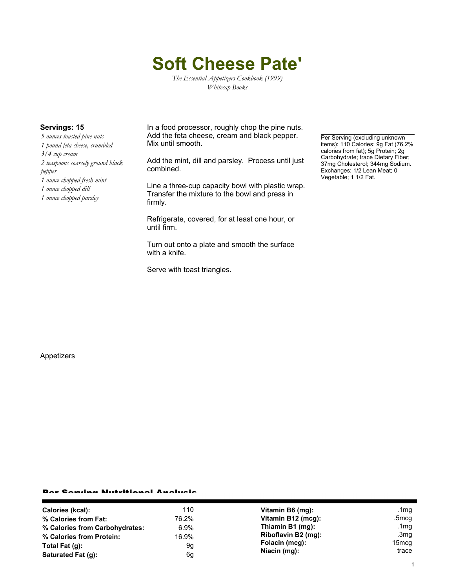# **Soft Cheese Pate'**

*The Essential Appetizers Cookbook (1999) Whitecap Books*

*5 ounces toasted pine nuts 1 pound feta cheese, crumbled 3/4 cup cream 2 teaspoons coarsely ground black pepper 1 ounce chopped fresh mint 1 ounce chopped dill 1 ounce chopped parsley*

**Servings: 15** In a food processor, roughly chop the pine nuts. Add the feta cheese, cream and black pepper. Mix until smooth.

> Add the mint, dill and parsley. Process until just combined.

> Line a three-cup capacity bowl with plastic wrap. Transfer the mixture to the bowl and press in firmly.

Refrigerate, covered, for at least one hour, or until firm.

Turn out onto a plate and smooth the surface with a knife.

Serve with toast triangles.

Per Serving (excluding unknown items): 110 Calories; 9g Fat (76.2% calories from fat); 5g Protein; 2g Carbohydrate; trace Dietary Fiber; 37mg Cholesterol; 344mg Sodium. Exchanges: 1/2 Lean Meat; 0 Vegetable; 1 1/2 Fat.

Appetizers

### Per Serving Nutritional Analysis

| Calories (kcal):               | 110     | Vitamin B6 (mg):                                      | .1mg    |
|--------------------------------|---------|-------------------------------------------------------|---------|
| % Calories from Fat:           | 76.2%   | Vitamin B12 (mcg):                                    | .5mcg   |
| % Calories from Carbohydrates: | $6.9\%$ | Thiamin B1 (mg):                                      | .1 $mg$ |
| % Calories from Protein:       | 16.9%   | Riboflavin B2 (mg):<br>Folacin (mcg):<br>Niacin (mg): | .3 $mg$ |
| Total Fat $(q)$ :              | 9g      |                                                       | 15mcq   |
| Saturated Fat (q):             | 6g      |                                                       | trace   |